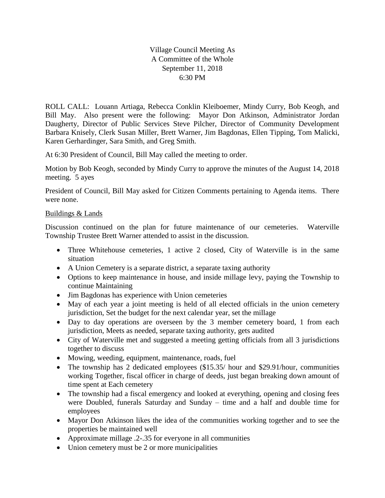Village Council Meeting As A Committee of the Whole September 11, 2018 6:30 PM

ROLL CALL: Louann Artiaga, Rebecca Conklin Kleiboemer, Mindy Curry, Bob Keogh, and Bill May. Also present were the following: Mayor Don Atkinson, Administrator Jordan Daugherty, Director of Public Services Steve Pilcher, Director of Community Development Barbara Knisely, Clerk Susan Miller, Brett Warner, Jim Bagdonas, Ellen Tipping, Tom Malicki, Karen Gerhardinger, Sara Smith, and Greg Smith.

At 6:30 President of Council, Bill May called the meeting to order.

Motion by Bob Keogh, seconded by Mindy Curry to approve the minutes of the August 14, 2018 meeting. 5 ayes

President of Council, Bill May asked for Citizen Comments pertaining to Agenda items. There were none.

## Buildings & Lands

Discussion continued on the plan for future maintenance of our cemeteries. Waterville Township Trustee Brett Warner attended to assist in the discussion.

- Three Whitehouse cemeteries, 1 active 2 closed, City of Waterville is in the same situation
- A Union Cemetery is a separate district, a separate taxing authority
- Options to keep maintenance in house, and inside millage levy, paying the Township to continue Maintaining
- Jim Bagdonas has experience with Union cemeteries
- May of each year a joint meeting is held of all elected officials in the union cemetery jurisdiction, Set the budget for the next calendar year, set the millage
- Day to day operations are overseen by the 3 member cemetery board, 1 from each jurisdiction, Meets as needed, separate taxing authority, gets audited
- City of Waterville met and suggested a meeting getting officials from all 3 jurisdictions together to discuss
- Mowing, weeding, equipment, maintenance, roads, fuel
- The township has 2 dedicated employees (\$15.35/ hour and \$29.91/hour, communities working Together, fiscal officer in charge of deeds, just began breaking down amount of time spent at Each cemetery
- The township had a fiscal emergency and looked at everything, opening and closing fees were Doubled, funerals Saturday and Sunday – time and a half and double time for employees
- Mayor Don Atkinson likes the idea of the communities working together and to see the properties be maintained well
- Approximate millage .2-.35 for everyone in all communities
- Union cemetery must be 2 or more municipalities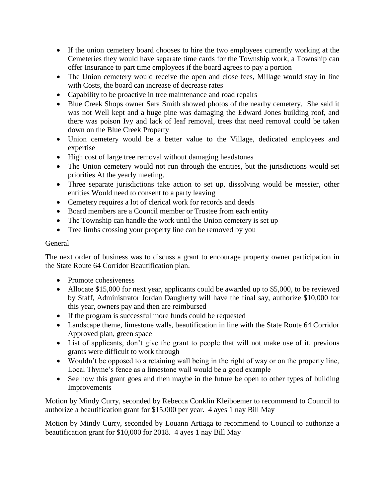- If the union cemetery board chooses to hire the two employees currently working at the Cemeteries they would have separate time cards for the Township work, a Township can offer Insurance to part time employees if the board agrees to pay a portion
- The Union cemetery would receive the open and close fees, Millage would stay in line with Costs, the board can increase of decrease rates
- Capability to be proactive in tree maintenance and road repairs
- Blue Creek Shops owner Sara Smith showed photos of the nearby cemetery. She said it was not Well kept and a huge pine was damaging the Edward Jones building roof, and there was poison Ivy and lack of leaf removal, trees that need removal could be taken down on the Blue Creek Property
- Union cemetery would be a better value to the Village, dedicated employees and expertise
- High cost of large tree removal without damaging headstones
- The Union cemetery would not run through the entities, but the jurisdictions would set priorities At the yearly meeting.
- Three separate jurisdictions take action to set up, dissolving would be messier, other entities Would need to consent to a party leaving
- Cemetery requires a lot of clerical work for records and deeds
- Board members are a Council member or Trustee from each entity
- The Township can handle the work until the Union cemetery is set up
- Tree limbs crossing your property line can be removed by you

## General

The next order of business was to discuss a grant to encourage property owner participation in the State Route 64 Corridor Beautification plan.

- Promote cohesiveness
- Allocate \$15,000 for next year, applicants could be awarded up to \$5,000, to be reviewed by Staff, Administrator Jordan Daugherty will have the final say, authorize \$10,000 for this year, owners pay and then are reimbursed
- If the program is successful more funds could be requested
- Landscape theme, limestone walls, beautification in line with the State Route 64 Corridor Approved plan, green space
- List of applicants, don't give the grant to people that will not make use of it, previous grants were difficult to work through
- Wouldn't be opposed to a retaining wall being in the right of way or on the property line, Local Thyme's fence as a limestone wall would be a good example
- See how this grant goes and then maybe in the future be open to other types of building Improvements

Motion by Mindy Curry, seconded by Rebecca Conklin Kleiboemer to recommend to Council to authorize a beautification grant for \$15,000 per year. 4 ayes 1 nay Bill May

Motion by Mindy Curry, seconded by Louann Artiaga to recommend to Council to authorize a beautification grant for \$10,000 for 2018. 4 ayes 1 nay Bill May